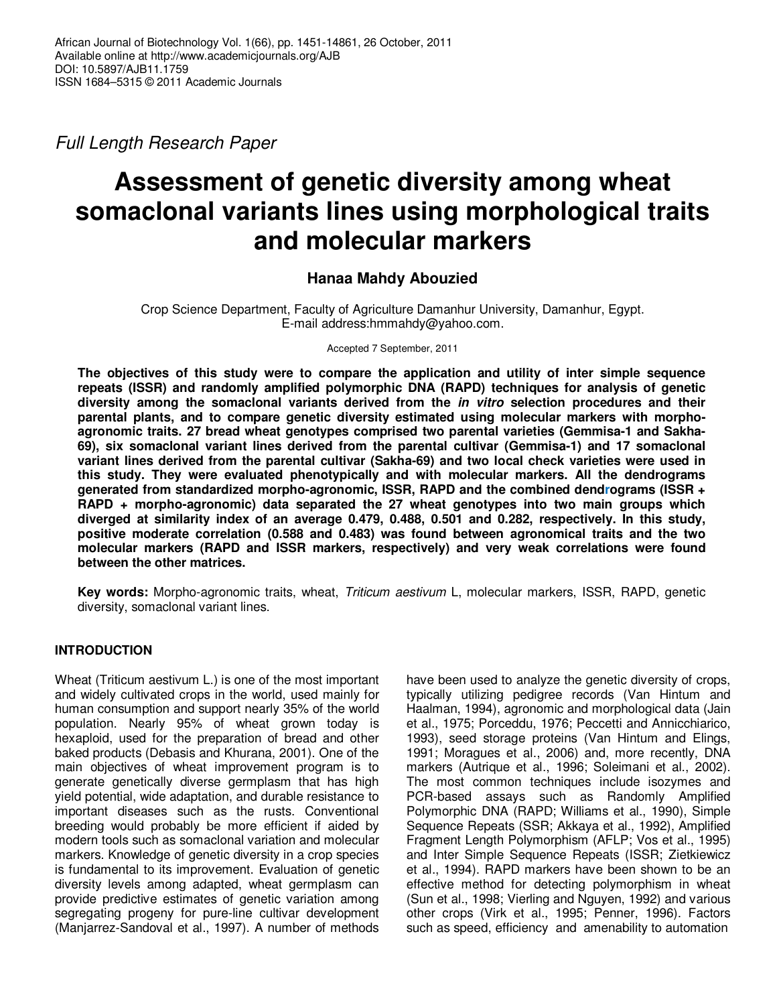Full Length Research Paper

# **Assessment of genetic diversity among wheat somaclonal variants lines using morphological traits and molecular markers**

# **Hanaa Mahdy Abouzied**

Crop Science Department, Faculty of Agriculture Damanhur University, Damanhur, Egypt. E-mail address:hmmahdy@yahoo.com.

Accepted 7 September, 2011

**The objectives of this study were to compare the application and utility of inter simple sequence repeats (ISSR) and randomly amplified polymorphic DNA (RAPD) techniques for analysis of genetic diversity among the somaclonal variants derived from the in vitro selection procedures and their parental plants, and to compare genetic diversity estimated using molecular markers with morphoagronomic traits. 27 bread wheat genotypes comprised two parental varieties (Gemmisa-1 and Sakha-69), six somaclonal variant lines derived from the parental cultivar (Gemmisa-1) and 17 somaclonal variant lines derived from the parental cultivar (Sakha-69) and two local check varieties were used in this study. They were evaluated phenotypically and with molecular markers. All the dendrograms generated from standardized morpho-agronomic, ISSR, RAPD and the combined dendrograms (ISSR + RAPD + morpho-agronomic) data separated the 27 wheat genotypes into two main groups which diverged at similarity index of an average 0.479, 0.488, 0.501 and 0.282, respectively. In this study, positive moderate correlation (0.588 and 0.483) was found between agronomical traits and the two molecular markers (RAPD and ISSR markers, respectively) and very weak correlations were found between the other matrices.** 

**Key words:** Morpho-agronomic traits, wheat, Triticum aestivum L, molecular markers, ISSR, RAPD, genetic diversity, somaclonal variant lines.

# **INTRODUCTION**

Wheat (Triticum aestivum L.) is one of the most important and widely cultivated crops in the world, used mainly for human consumption and support nearly 35% of the world population. Nearly 95% of wheat grown today is hexaploid, used for the preparation of bread and other baked products (Debasis and Khurana, 2001). One of the main objectives of wheat improvement program is to generate genetically diverse germplasm that has high yield potential, wide adaptation, and durable resistance to important diseases such as the rusts. Conventional breeding would probably be more efficient if aided by modern tools such as somaclonal variation and molecular markers. Knowledge of genetic diversity in a crop species is fundamental to its improvement. Evaluation of genetic diversity levels among adapted, wheat germplasm can provide predictive estimates of genetic variation among segregating progeny for pure-line cultivar development (Manjarrez-Sandoval et al., 1997). A number of methods have been used to analyze the genetic diversity of crops, typically utilizing pedigree records (Van Hintum and Haalman, 1994), agronomic and morphological data (Jain et al., 1975; Porceddu, 1976; Peccetti and Annicchiarico, 1993), seed storage proteins (Van Hintum and Elings, 1991; Moragues et al., 2006) and, more recently, DNA markers (Autrique et al., 1996; Soleimani et al., 2002). The most common techniques include isozymes and PCR-based assays such as Randomly Amplified Polymorphic DNA (RAPD; Williams et al., 1990), Simple Sequence Repeats (SSR; Akkaya et al., 1992), Amplified Fragment Length Polymorphism (AFLP; Vos et al., 1995) and Inter Simple Sequence Repeats (ISSR; Zietkiewicz et al., 1994). RAPD markers have been shown to be an effective method for detecting polymorphism in wheat (Sun et al., 1998; Vierling and Nguyen, 1992) and various other crops (Virk et al., 1995; Penner, 1996). Factors such as speed, efficiency and amenability to automation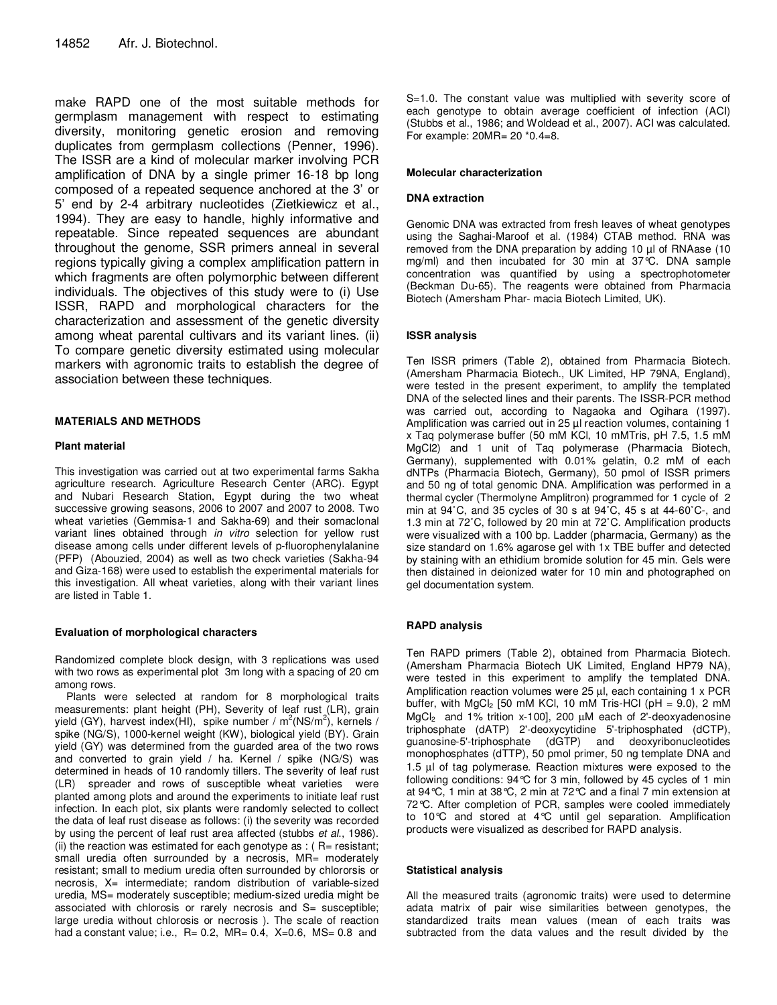make RAPD one of the most suitable methods for germplasm management with respect to estimating diversity, monitoring genetic erosion and removing duplicates from germplasm collections (Penner, 1996). The ISSR are a kind of molecular marker involving PCR amplification of DNA by a single primer 16-18 bp long composed of a repeated sequence anchored at the 3' or 5' end by 2-4 arbitrary nucleotides (Zietkiewicz et al., 1994). They are easy to handle, highly informative and repeatable. Since repeated sequences are abundant throughout the genome, SSR primers anneal in several regions typically giving a complex amplification pattern in which fragments are often polymorphic between different individuals. The objectives of this study were to (i) Use ISSR, RAPD and morphological characters for the characterization and assessment of the genetic diversity among wheat parental cultivars and its variant lines. (ii) To compare genetic diversity estimated using molecular markers with agronomic traits to establish the degree of association between these techniques.

#### **MATERIALS AND METHODS**

#### **Plant material**

This investigation was carried out at two experimental farms Sakha agriculture research. Agriculture Research Center (ARC). Egypt and Nubari Research Station, Egypt during the two wheat successive growing seasons, 2006 to 2007 and 2007 to 2008. Two wheat varieties (Gemmisa-1 and Sakha-69) and their somaclonal variant lines obtained through in vitro selection for yellow rust disease among cells under different levels of p-fluorophenylalanine (PFP) (Abouzied, 2004) as well as two check varieties (Sakha-94 and Giza-168) were used to establish the experimental materials for this investigation. All wheat varieties, along with their variant lines are listed in Table 1.

#### **Evaluation of morphological characters**

Randomized complete block design, with 3 replications was used with two rows as experimental plot 3m long with a spacing of 20 cm among rows.

Plants were selected at random for 8 morphological traits measurements: plant height (PH), Severity of leaf rust (LR), grain yield (GY), harvest index(HI), spike number /  $m^2$ (NS/m<sup>2</sup>), kernels / spike (NG/S), 1000-kernel weight (KW), biological yield (BY). Grain yield (GY) was determined from the guarded area of the two rows and converted to grain yield / ha. Kernel / spike (NG/S) was determined in heads of 10 randomly tillers. The severity of leaf rust (LR) spreader and rows of susceptible wheat varieties were planted among plots and around the experiments to initiate leaf rust infection. In each plot, six plants were randomly selected to collect the data of leaf rust disease as follows: (i) the severity was recorded by using the percent of leaf rust area affected (stubbs et al., 1986). (ii) the reaction was estimated for each genotype as :  $(R =$  resistant; small uredia often surrounded by a necrosis, MR= moderately resistant; small to medium uredia often surrounded by chlororsis or necrosis, X= intermediate; random distribution of variable-sized uredia, MS= moderately susceptible; medium-sized uredia might be associated with chlorosis or rarely necrosis and S= susceptible; large uredia without chlorosis or necrosis ). The scale of reaction had a constant value; i.e., R= 0.2, MR= 0.4, X=0.6, MS= 0.8 and

S=1.0. The constant value was multiplied with severity score of each genotype to obtain average coefficient of infection (ACI) (Stubbs et al., 1986; and Woldead et al., 2007). ACI was calculated. For example: 20MR= 20 \*0.4=8.

#### **Molecular characterization**

#### **DNA extraction**

Genomic DNA was extracted from fresh leaves of wheat genotypes using the Saghai-Maroof et al. (1984) CTAB method. RNA was removed from the DNA preparation by adding 10 µl of RNAase (10 mg/ml) and then incubated for 30 min at 37°C. DNA sample concentration was quantified by using a spectrophotometer (Beckman Du-65). The reagents were obtained from Pharmacia Biotech (Amersham Phar- macia Biotech Limited, UK).

#### **ISSR analysis**

Ten ISSR primers (Table 2), obtained from Pharmacia Biotech. (Amersham Pharmacia Biotech., UK Limited, HP 79NA, England), were tested in the present experiment, to amplify the templated DNA of the selected lines and their parents. The ISSR-PCR method was carried out, according to Nagaoka and Ogihara (1997). Amplification was carried out in 25 µl reaction volumes, containing 1 x Taq polymerase buffer (50 mM KCl, 10 mMTris, pH 7.5, 1.5 mM MgCl2) and 1 unit of Taq polymerase (Pharmacia Biotech, Germany), supplemented with 0.01% gelatin, 0.2 mM of each dNTPs (Pharmacia Biotech, Germany), 50 pmol of ISSR primers and 50 ng of total genomic DNA. Amplification was performed in a thermal cycler (Thermolyne Amplitron) programmed for 1 cycle of 2 min at 94˚C, and 35 cycles of 30 s at 94˚C, 45 s at 44-60˚C-, and 1.3 min at 72˚C, followed by 20 min at 72˚C. Amplification products were visualized with a 100 bp. Ladder (pharmacia, Germany) as the size standard on 1.6% agarose gel with 1x TBE buffer and detected by staining with an ethidium bromide solution for 45 min. Gels were then distained in deionized water for 10 min and photographed on gel documentation system.

# **RAPD analysis**

Ten RAPD primers (Table 2), obtained from Pharmacia Biotech. (Amersham Pharmacia Biotech UK Limited, England HP79 NA), were tested in this experiment to amplify the templated DNA. Amplification reaction volumes were 25 µl, each containing 1 x PCR buffer, with  $MgCl<sub>2</sub>$  [50 mM KCl, 10 mM Tris-HCl (pH = 9.0), 2 mM  $MgCl<sub>2</sub>$  and 1% trition x-100], 200  $\mu$ M each of 2'-deoxyadenosine triphosphate (dATP) 2'-deoxycytidine 5'-triphosphated (dCTP), guanosine-5'-triphosphate (dGTP) and deoxyribonucleotides monophosphates (dTTP), 50 pmol primer, 50 ng template DNA and 1.5 µl of tag polymerase. Reaction mixtures were exposed to the following conditions: 94°C for 3 min, followed by 45 cycles of 1 min at 94°C, 1 min at 38°C, 2 min at 72°C and a final 7 min extension at 72°C. After completion of PCR, samples were cooled immediately to 10°C and stored at 4°C until gel separation. Amplification products were visualized as described for RAPD analysis.

#### **Statistical analysis**

All the measured traits (agronomic traits) were used to determine adata matrix of pair wise similarities between genotypes, the standardized traits mean values (mean of each traits was subtracted from the data values and the result divided by the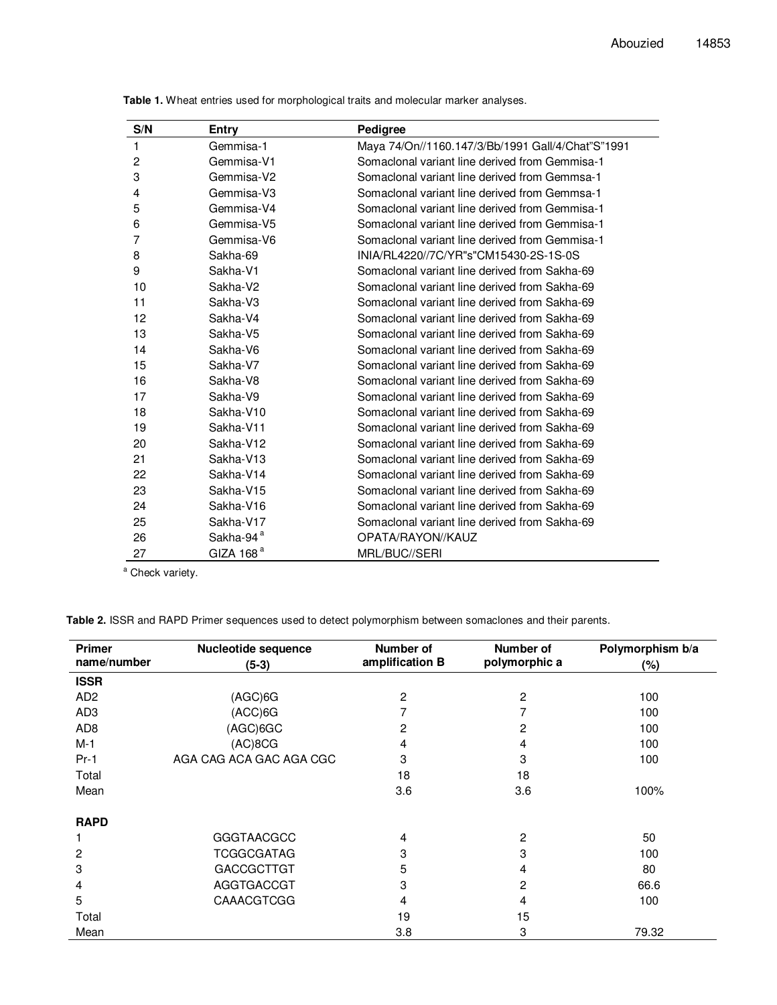| S/N            | Entry                 | Pedigree                                          |
|----------------|-----------------------|---------------------------------------------------|
| 1              | Gemmisa-1             | Maya 74/On//1160.147/3/Bb/1991 Gall/4/Chat"S"1991 |
| $\overline{c}$ | Gemmisa-V1            | Somaclonal variant line derived from Gemmisa-1    |
| 3              | Gemmisa-V2            | Somaclonal variant line derived from Gemmsa-1     |
| 4              | Gemmisa-V3            | Somaclonal variant line derived from Gemmsa-1     |
| 5              | Gemmisa-V4            | Somaclonal variant line derived from Gemmisa-1    |
| 6              | Gemmisa-V5            | Somaclonal variant line derived from Gemmisa-1    |
| 7              | Gemmisa-V6            | Somaclonal variant line derived from Gemmisa-1    |
| 8              | Sakha-69              | INIA/RL4220//7C/YR"s"CM15430-2S-1S-0S             |
| 9              | Sakha-V1              | Somaclonal variant line derived from Sakha-69     |
| 10             | Sakha-V <sub>2</sub>  | Somaclonal variant line derived from Sakha-69     |
| 11             | Sakha-V3              | Somaclonal variant line derived from Sakha-69     |
| 12             | Sakha-V4              | Somaclonal variant line derived from Sakha-69     |
| 13             | Sakha-V5              | Somaclonal variant line derived from Sakha-69     |
| 14             | Sakha-V6              | Somaclonal variant line derived from Sakha-69     |
| 15             | Sakha-V7              | Somaclonal variant line derived from Sakha-69     |
| 16             | Sakha-V8              | Somaclonal variant line derived from Sakha-69     |
| 17             | Sakha-V9              | Somaclonal variant line derived from Sakha-69     |
| 18             | Sakha-V10             | Somaclonal variant line derived from Sakha-69     |
| 19             | Sakha-V11             | Somaclonal variant line derived from Sakha-69     |
| 20             | Sakha-V12             | Somaclonal variant line derived from Sakha-69     |
| 21             | Sakha-V13             | Somaclonal variant line derived from Sakha-69     |
| 22             | Sakha-V14             | Somaclonal variant line derived from Sakha-69     |
| 23             | Sakha-V15             | Somaclonal variant line derived from Sakha-69     |
| 24             | Sakha-V16             | Somaclonal variant line derived from Sakha-69     |
| 25             | Sakha-V17             | Somaclonal variant line derived from Sakha-69     |
| 26             | Sakha-94 <sup>a</sup> | OPATA/RAYON//KAUZ                                 |
| 27             | GIZA 168 $a$          | MRL/BUC//SERI                                     |

**Table 1.** Wheat entries used for morphological traits and molecular marker analyses.

<sup>a</sup> Check variety.

**Table 2.** ISSR and RAPD Primer sequences used to detect polymorphism between somaclones and their parents.

| <b>Primer</b><br>name/number | <b>Nucleotide sequence</b><br>$(5-3)$ | Number of<br>amplification B | <b>Number of</b><br>polymorphic a | Polymorphism b/a<br>$(\%)$ |
|------------------------------|---------------------------------------|------------------------------|-----------------------------------|----------------------------|
| <b>ISSR</b>                  |                                       |                              |                                   |                            |
| AD <sub>2</sub>              | (AGC)6G                               | 2                            | 2                                 | 100                        |
| AD <sub>3</sub>              | (ACC)6G                               |                              | 7                                 | 100                        |
| AD <sub>8</sub>              | (AGC)6GC                              | 2                            | $\overline{c}$                    | 100                        |
| $M-1$                        | (AC)8CG                               | 4                            | 4                                 | 100                        |
| $Pr-1$                       | AGA CAG ACA GAC AGA CGC               | 3                            | 3                                 | 100                        |
| Total                        |                                       | 18                           | 18                                |                            |
| Mean                         |                                       | 3.6                          | 3.6                               | 100%                       |
| <b>RAPD</b>                  |                                       |                              |                                   |                            |
|                              | <b>GGGTAACGCC</b>                     | 4                            | 2                                 | 50                         |
| 2                            | <b>TCGGCGATAG</b>                     | 3                            | 3                                 | 100                        |
| 3                            | <b>GACCGCTTGT</b>                     | 5                            | 4                                 | 80                         |
| 4                            | AGGTGACCGT                            | 3                            | 2                                 | 66.6                       |
| 5                            | <b>CAAACGTCGG</b>                     | 4                            | 4                                 | 100                        |
| Total                        |                                       | 19                           | 15                                |                            |
| Mean                         |                                       | 3.8                          | 3                                 | 79.32                      |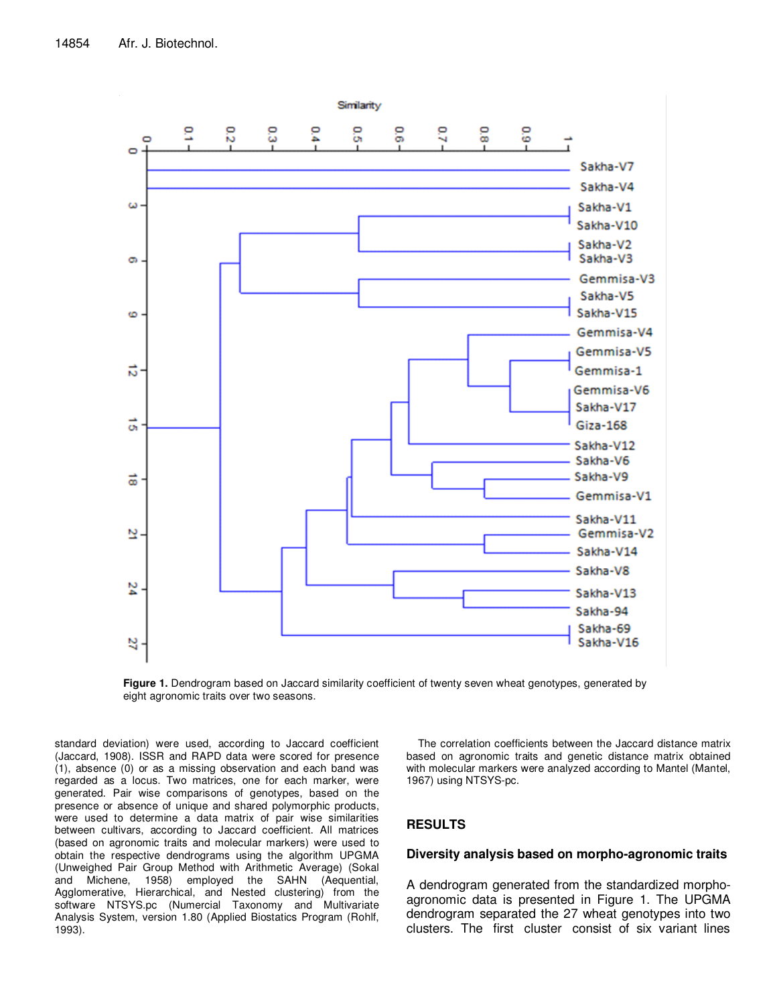

**Figure 1.** Dendrogram based on Jaccard similarity coefficient of twenty seven wheat genotypes, generated by eight agronomic traits over two seasons.

standard deviation) were used, according to Jaccard coefficient (Jaccard, 1908). ISSR and RAPD data were scored for presence (1), absence (0) or as a missing observation and each band was regarded as a locus. Two matrices, one for each marker, were generated. Pair wise comparisons of genotypes, based on the presence or absence of unique and shared polymorphic products, were used to determine a data matrix of pair wise similarities between cultivars, according to Jaccard coefficient. All matrices (based on agronomic traits and molecular markers) were used to obtain the respective dendrograms using the algorithm UPGMA (Unweighed Pair Group Method with Arithmetic Average) (Sokal and Michene, 1958) employed the SAHN (Aequential, Agglomerative, Hierarchical, and Nested clustering) from the software NTSYS.pc (Numercial Taxonomy and Multivariate Analysis System, version 1.80 (Applied Biostatics Program (Rohlf, 1993).

The correlation coefficients between the Jaccard distance matrix based on agronomic traits and genetic distance matrix obtained with molecular markers were analyzed according to Mantel (Mantel, 1967) using NTSYS-pc.

# **RESULTS**

#### **Diversity analysis based on morpho-agronomic traits**

A dendrogram generated from the standardized morphoagronomic data is presented in Figure 1. The UPGMA dendrogram separated the 27 wheat genotypes into two clusters. The first cluster consist of six variant lines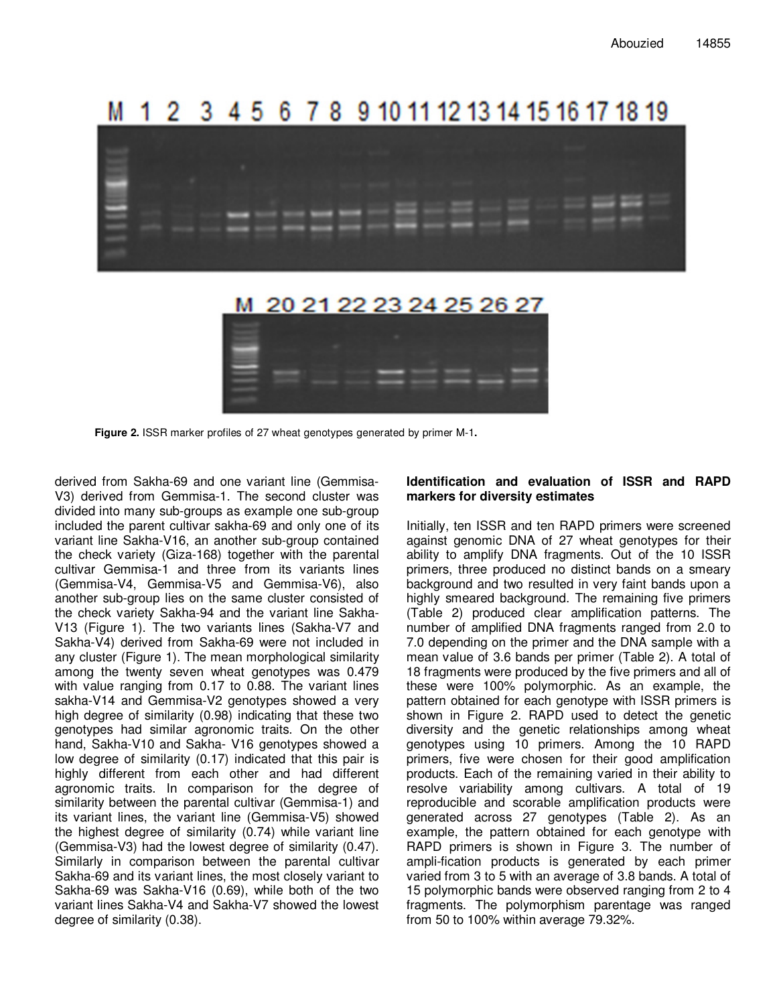



**Figure 2.** ISSR marker profiles of 27 wheat genotypes generated by primer M-1**.**

derived from Sakha-69 and one variant line (Gemmisa-V3) derived from Gemmisa-1. The second cluster was divided into many sub-groups as example one sub-group included the parent cultivar sakha-69 and only one of its variant line Sakha-V16, an another sub-group contained the check variety (Giza-168) together with the parental cultivar Gemmisa-1 and three from its variants lines (Gemmisa-V4, Gemmisa-V5 and Gemmisa-V6), also another sub-group lies on the same cluster consisted of the check variety Sakha-94 and the variant line Sakha-V13 (Figure 1). The two variants lines (Sakha-V7 and Sakha-V4) derived from Sakha-69 were not included in any cluster (Figure 1). The mean morphological similarity among the twenty seven wheat genotypes was 0.479 with value ranging from 0.17 to 0.88. The variant lines sakha-V14 and Gemmisa-V2 genotypes showed a very high degree of similarity (0.98) indicating that these two genotypes had similar agronomic traits. On the other hand, Sakha-V10 and Sakha- V16 genotypes showed a low degree of similarity (0.17) indicated that this pair is highly different from each other and had different agronomic traits. In comparison for the degree of similarity between the parental cultivar (Gemmisa-1) and its variant lines, the variant line (Gemmisa-V5) showed the highest degree of similarity (0.74) while variant line (Gemmisa-V3) had the lowest degree of similarity (0.47). Similarly in comparison between the parental cultivar Sakha-69 and its variant lines, the most closely variant to Sakha-69 was Sakha-V16 (0.69), while both of the two variant lines Sakha-V4 and Sakha-V7 showed the lowest degree of similarity (0.38).

# **Identification and evaluation of ISSR and RAPD markers for diversity estimates**

Initially, ten ISSR and ten RAPD primers were screened against genomic DNA of 27 wheat genotypes for their ability to amplify DNA fragments. Out of the 10 ISSR primers, three produced no distinct bands on a smeary background and two resulted in very faint bands upon a highly smeared background. The remaining five primers (Table 2) produced clear amplification patterns. The number of amplified DNA fragments ranged from 2.0 to 7.0 depending on the primer and the DNA sample with a mean value of 3.6 bands per primer (Table 2). A total of 18 fragments were produced by the five primers and all of these were 100% polymorphic. As an example, the pattern obtained for each genotype with ISSR primers is shown in Figure 2. RAPD used to detect the genetic diversity and the genetic relationships among wheat genotypes using 10 primers. Among the 10 RAPD primers, five were chosen for their good amplification products. Each of the remaining varied in their ability to resolve variability among cultivars. A total of 19 reproducible and scorable amplification products were generated across 27 genotypes (Table 2). As an example, the pattern obtained for each genotype with RAPD primers is shown in Figure 3. The number of ampli-fication products is generated by each primer varied from 3 to 5 with an average of 3.8 bands. A total of 15 polymorphic bands were observed ranging from 2 to 4 fragments. The polymorphism parentage was ranged from 50 to 100% within average 79.32%.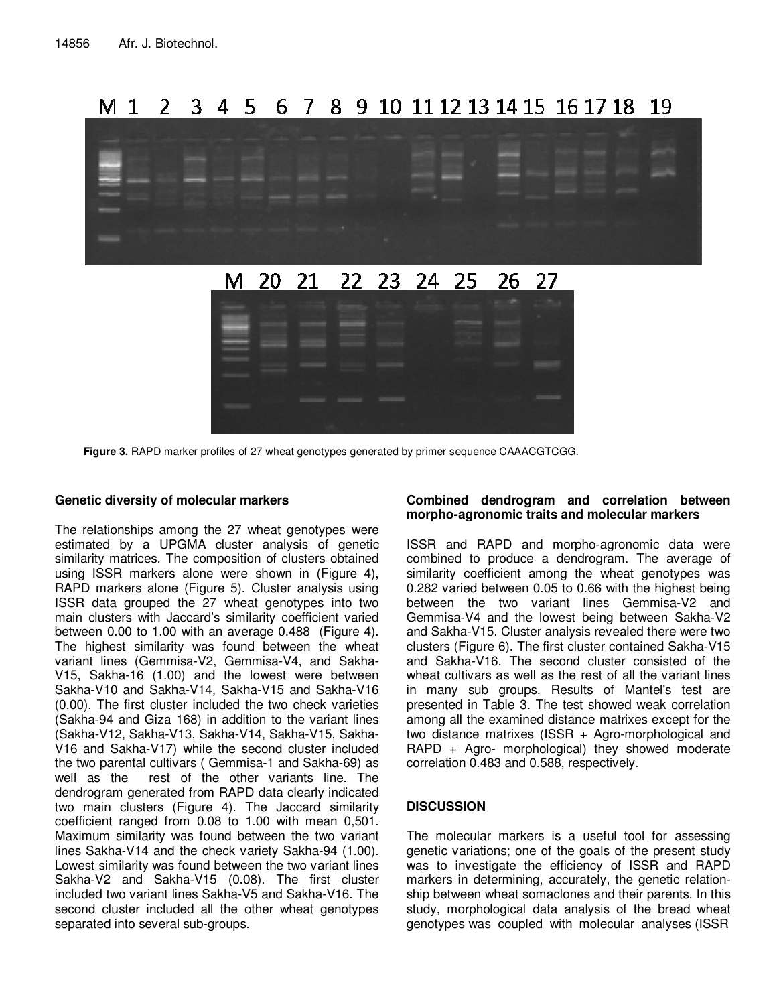

9 10 11 12 13 14 15 16 17 18 5 19 M -1 2 3 4 6 7 8

**Figure 3.** RAPD marker profiles of 27 wheat genotypes generated by primer sequence CAAACGTCGG.

#### **Genetic diversity of molecular markers**

The relationships among the 27 wheat genotypes were estimated by a UPGMA cluster analysis of genetic similarity matrices. The composition of clusters obtained using ISSR markers alone were shown in (Figure 4), RAPD markers alone (Figure 5). Cluster analysis using ISSR data grouped the 27 wheat genotypes into two main clusters with Jaccard's similarity coefficient varied between 0.00 to 1.00 with an average 0.488 (Figure 4). The highest similarity was found between the wheat variant lines (Gemmisa-V2, Gemmisa-V4, and Sakha-V15, Sakha-16 (1.00) and the lowest were between Sakha-V10 and Sakha-V14, Sakha-V15 and Sakha-V16 (0.00). The first cluster included the two check varieties (Sakha-94 and Giza 168) in addition to the variant lines (Sakha-V12, Sakha-V13, Sakha-V14, Sakha-V15, Sakha-V16 and Sakha-V17) while the second cluster included the two parental cultivars ( Gemmisa-1 and Sakha-69) as well as the rest of the other variants line. The dendrogram generated from RAPD data clearly indicated two main clusters (Figure 4). The Jaccard similarity coefficient ranged from 0.08 to 1.00 with mean 0,501. Maximum similarity was found between the two variant lines Sakha-V14 and the check variety Sakha-94 (1.00). Lowest similarity was found between the two variant lines Sakha-V2 and Sakha-V15 (0.08). The first cluster included two variant lines Sakha-V5 and Sakha-V16. The second cluster included all the other wheat genotypes separated into several sub-groups.

#### **Combined dendrogram and correlation between morpho-agronomic traits and molecular markers**

ISSR and RAPD and morpho-agronomic data were combined to produce a dendrogram. The average of similarity coefficient among the wheat genotypes was 0.282 varied between 0.05 to 0.66 with the highest being between the two variant lines Gemmisa-V2 and Gemmisa-V4 and the lowest being between Sakha-V2 and Sakha-V15. Cluster analysis revealed there were two clusters (Figure 6). The first cluster contained Sakha-V15 and Sakha-V16. The second cluster consisted of the wheat cultivars as well as the rest of all the variant lines in many sub groups. Results of Mantel's test are presented in Table 3. The test showed weak correlation among all the examined distance matrixes except for the two distance matrixes (ISSR + Agro-morphological and RAPD + Agro- morphological) they showed moderate correlation 0.483 and 0.588, respectively.

# **DISCUSSION**

The molecular markers is a useful tool for assessing genetic variations; one of the goals of the present study was to investigate the efficiency of ISSR and RAPD markers in determining, accurately, the genetic relationship between wheat somaclones and their parents. In this study, morphological data analysis of the bread wheat genotypes was coupled with molecular analyses (ISSR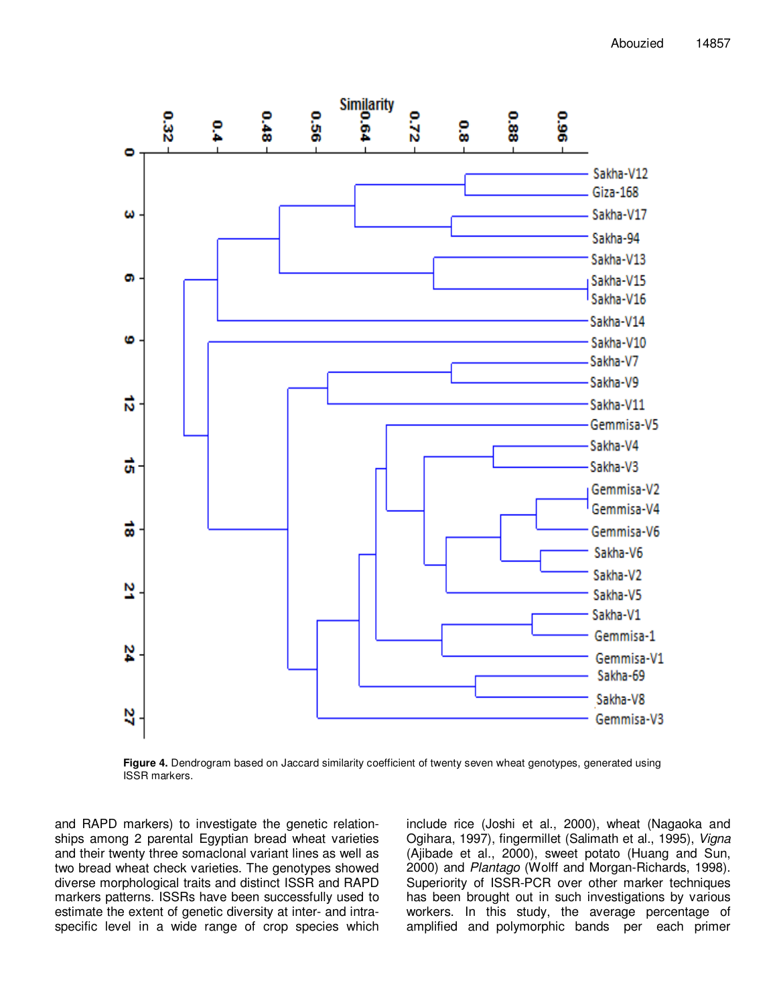

**Figure 4.** Dendrogram based on Jaccard similarity coefficient of twenty seven wheat genotypes, generated using ISSR markers.

and RAPD markers) to investigate the genetic relationships among 2 parental Egyptian bread wheat varieties and their twenty three somaclonal variant lines as well as two bread wheat check varieties. The genotypes showed diverse morphological traits and distinct ISSR and RAPD markers patterns. ISSRs have been successfully used to estimate the extent of genetic diversity at inter- and intraspecific level in a wide range of crop species which include rice (Joshi et al., 2000), wheat (Nagaoka and Ogihara, 1997), fingermillet (Salimath et al., 1995), Vigna (Ajibade et al., 2000), sweet potato (Huang and Sun, 2000) and Plantago (Wolff and Morgan-Richards, 1998). Superiority of ISSR-PCR over other marker techniques has been brought out in such investigations by various workers. In this study, the average percentage of amplified and polymorphic bands per each primer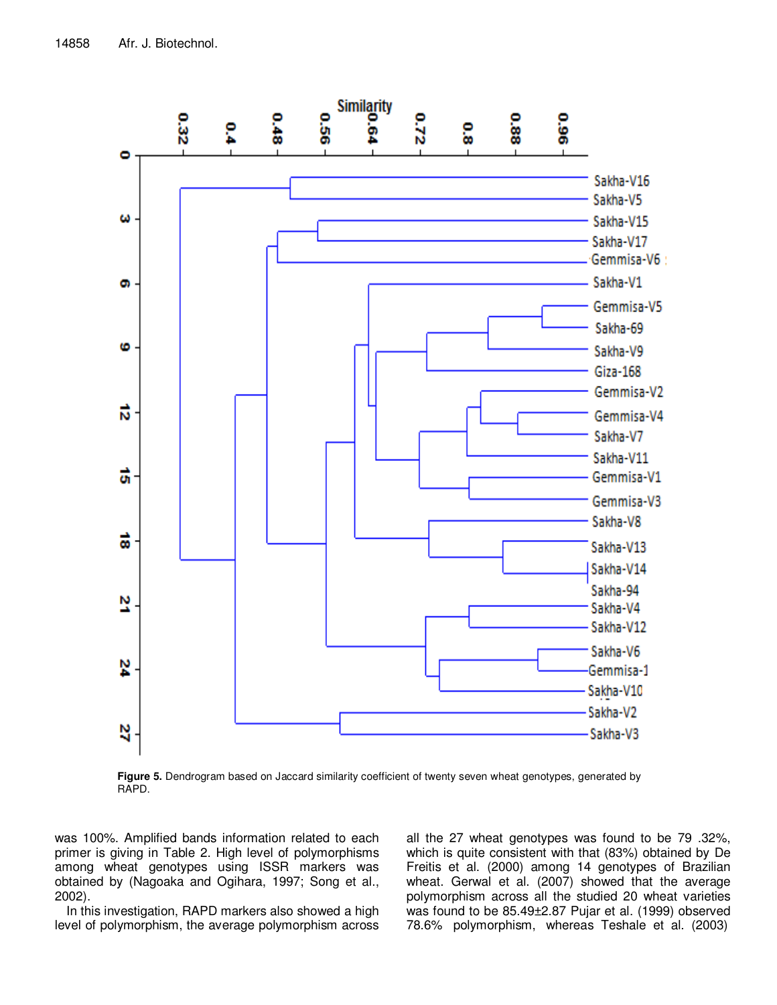

**Figure 5.** Dendrogram based on Jaccard similarity coefficient of twenty seven wheat genotypes, generated by RAPD.

was 100%. Amplified bands information related to each primer is giving in Table 2. High level of polymorphisms among wheat genotypes using ISSR markers was obtained by (Nagoaka and Ogihara, 1997; Song et al., 2002).

In this investigation, RAPD markers also showed a high level of polymorphism, the average polymorphism across all the 27 wheat genotypes was found to be 79 .32%, which is quite consistent with that (83%) obtained by De Freitis et al. (2000) among 14 genotypes of Brazilian wheat. Gerwal et al. (2007) showed that the average polymorphism across all the studied 20 wheat varieties was found to be 85.49±2.87 Pujar et al. (1999) observed 78.6% polymorphism, whereas Teshale et al. (2003)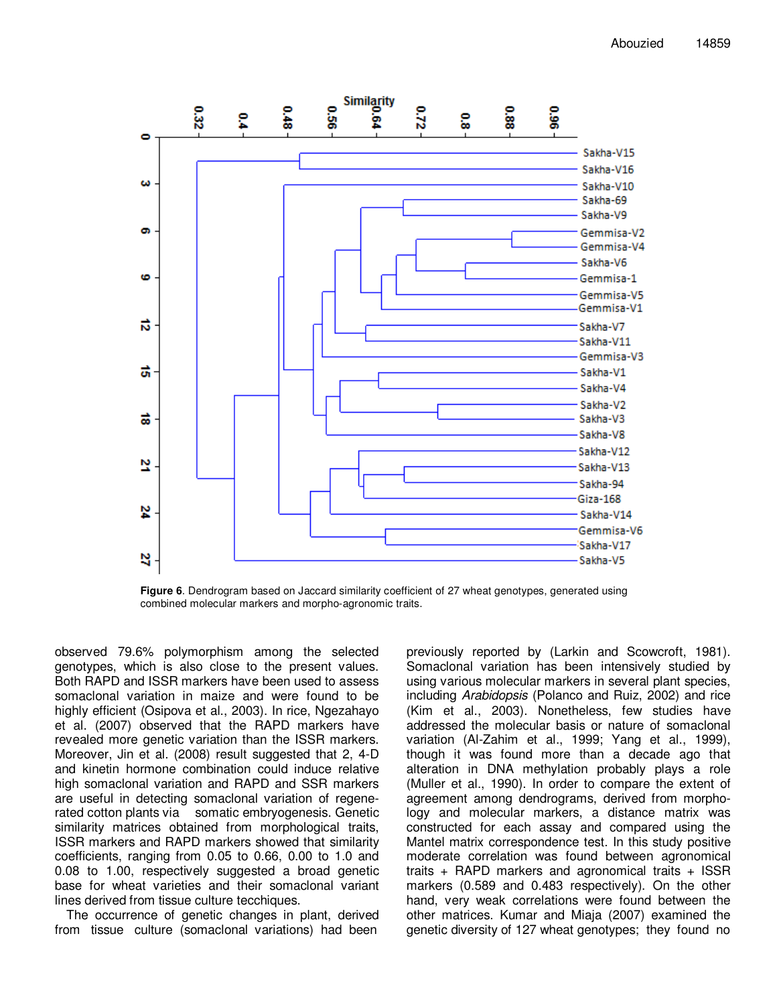

**Figure 6**. Dendrogram based on Jaccard similarity coefficient of 27 wheat genotypes, generated using combined molecular markers and morpho-agronomic traits.

observed 79.6% polymorphism among the selected genotypes, which is also close to the present values. Both RAPD and ISSR markers have been used to assess somaclonal variation in maize and were found to be highly efficient (Osipova et al., 2003). In rice, Ngezahayo et al. (2007) observed that the RAPD markers have revealed more genetic variation than the ISSR markers. Moreover, Jin et al. (2008) result suggested that 2, 4-D and kinetin hormone combination could induce relative high somaclonal variation and RAPD and SSR markers are useful in detecting somaclonal variation of regenerated cotton plants via somatic embryogenesis. Genetic similarity matrices obtained from morphological traits, ISSR markers and RAPD markers showed that similarity coefficients, ranging from 0.05 to 0.66, 0.00 to 1.0 and 0.08 to 1.00, respectively suggested a broad genetic base for wheat varieties and their somaclonal variant lines derived from tissue culture tecchiques.

The occurrence of genetic changes in plant, derived from tissue culture (somaclonal variations) had been

previously reported by (Larkin and Scowcroft, 1981). Somaclonal variation has been intensively studied by using various molecular markers in several plant species, including Arabidopsis (Polanco and Ruiz, 2002) and rice (Kim et al., 2003). Nonetheless, few studies have addressed the molecular basis or nature of somaclonal variation (Al-Zahim et al., 1999; Yang et al., 1999), though it was found more than a decade ago that alteration in DNA methylation probably plays a role (Muller et al., 1990). In order to compare the extent of agreement among dendrograms, derived from morphology and molecular markers, a distance matrix was constructed for each assay and compared using the Mantel matrix correspondence test. In this study positive moderate correlation was found between agronomical traits + RAPD markers and agronomical traits +  $ISSR$ markers (0.589 and 0.483 respectively). On the other hand, very weak correlations were found between the other matrices. Kumar and Miaja (2007) examined the genetic diversity of 127 wheat genotypes; they found no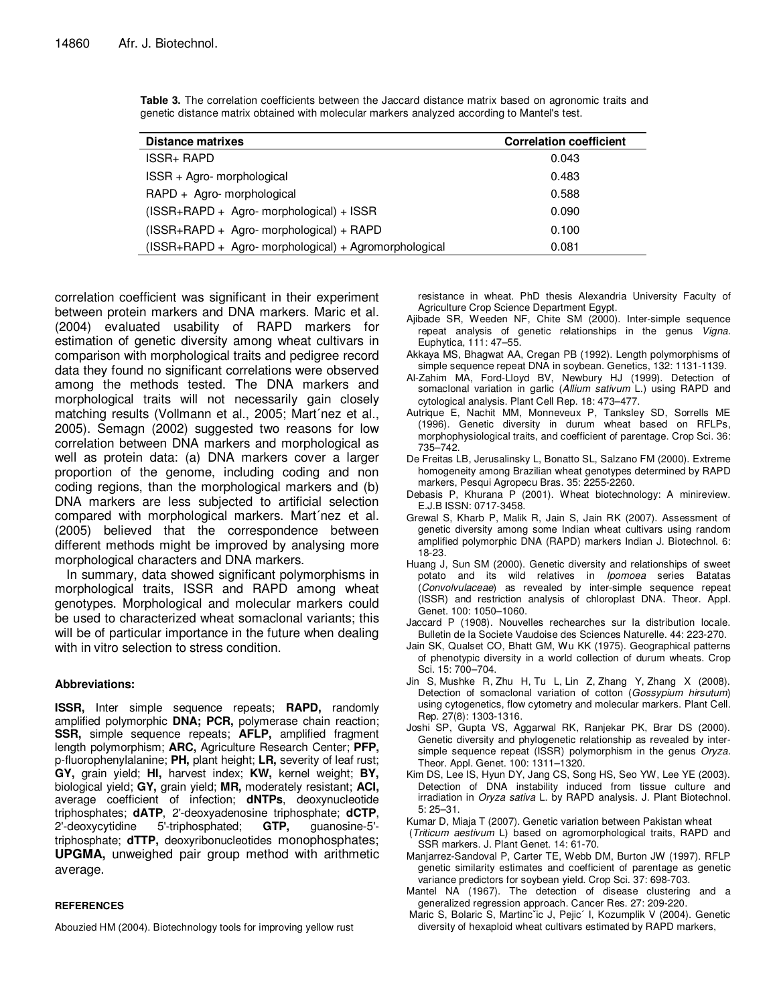| <b>Distance matrixes</b>                              | <b>Correlation coefficient</b> |
|-------------------------------------------------------|--------------------------------|
| <b>ISSR+ RAPD</b>                                     | 0.043                          |
| ISSR + Agro- morphological                            | 0.483                          |
| RAPD + Agro- morphological                            | 0.588                          |
| (ISSR+RAPD + Agro- morphological) + ISSR              | 0.090                          |
| $(ISSR+RAPD + Agro-morphological) + RAPD$             | 0.100                          |
| (ISSR+RAPD + Agro- morphological) + Agromorphological | 0.081                          |

**Table 3.** The correlation coefficients between the Jaccard distance matrix based on agronomic traits and genetic distance matrix obtained with molecular markers analyzed according to Mantel's test.

correlation coefficient was significant in their experiment between protein markers and DNA markers. Maric et al. (2004) evaluated usability of RAPD markers for estimation of genetic diversity among wheat cultivars in comparison with morphological traits and pedigree record data they found no significant correlations were observed among the methods tested. The DNA markers and morphological traits will not necessarily gain closely matching results (Vollmann et al., 2005; Mart´nez et al., 2005). Semagn (2002) suggested two reasons for low correlation between DNA markers and morphological as well as protein data: (a) DNA markers cover a larger proportion of the genome, including coding and non coding regions, than the morphological markers and (b) DNA markers are less subjected to artificial selection compared with morphological markers. Mart´nez et al. (2005) believed that the correspondence between different methods might be improved by analysing more morphological characters and DNA markers.

In summary, data showed significant polymorphisms in morphological traits, ISSR and RAPD among wheat genotypes. Morphological and molecular markers could be used to characterized wheat somaclonal variants; this will be of particular importance in the future when dealing with in vitro selection to stress condition.

#### **Abbreviations:**

**ISSR,** Inter simple sequence repeats; **RAPD,** randomly amplified polymorphic **DNA; PCR,** polymerase chain reaction; **SSR,** simple sequence repeats; **AFLP,** amplified fragment length polymorphism; **ARC,** Agriculture Research Center; **PFP,** p-fluorophenylalanine; **PH,** plant height; **LR,** severity of leaf rust; **GY,** grain yield; **HI,** harvest index; **KW,** kernel weight; **BY,** biological yield; **GY,** grain yield; **MR,** moderately resistant; **ACI,** average coefficient of infection; **dNTPs**, deoxynucleotide triphosphates; **dATP**, 2'-deoxyadenosine triphosphate; **dCTP**, 2'-deoxycytidine 5'-triphosphated; **GTP,** guanosine-5' triphosphate; **dTTP,** deoxyribonucleotides monophosphates; **UPGMA,** unweighed pair group method with arithmetic average.

#### **REFERENCES**

Abouzied HM (2004). Biotechnology tools for improving yellow rust

resistance in wheat. PhD thesis Alexandria University Faculty of Agriculture Crop Science Department Egypt.

- Ajibade SR, Weeden NF, Chite SM (2000). Inter-simple sequence repeat analysis of genetic relationships in the genus Vigna. Euphytica, 111: 47–55.
- Akkaya MS, Bhagwat AA, Cregan PB (1992). Length polymorphisms of simple sequence repeat DNA in soybean. Genetics, 132: 1131-1139.
- Al-Zahim MA, Ford-Lloyd BV, Newbury HJ (1999). Detection of somaclonal variation in garlic (Allium sativum L.) using RAPD and cytological analysis. Plant Cell Rep. 18: 473–477.
- Autrique E, Nachit MM, Monneveux P, Tanksley SD, Sorrells ME (1996). Genetic diversity in durum wheat based on RFLPs, morphophysiological traits, and coefficient of parentage. Crop Sci. 36: 735–742.
- De Freitas LB, Jerusalinsky L, Bonatto SL, Salzano FM (2000). Extreme homogeneity among Brazilian wheat genotypes determined by RAPD markers, Pesqui Agropecu Bras. 35: 2255-2260.
- Debasis P, Khurana P (2001). Wheat biotechnology: A minireview. E.J.B ISSN: 0717-3458.
- Grewal S, Kharb P, Malik R, Jain S, Jain RK (2007). Assessment of genetic diversity among some Indian wheat cultivars using random amplified polymorphic DNA (RAPD) markers Indian J. Biotechnol. 6: 18-23.
- Huang J, Sun SM (2000). Genetic diversity and relationships of sweet potato and its wild relatives in Ipomoea series Batatas (Convolvulaceae) as revealed by inter-simple sequence repeat (ISSR) and restriction analysis of chloroplast DNA. Theor. Appl. Genet. 100: 1050–1060.
- Jaccard P (1908). Nouvelles rechearches sur la distribution locale. Bulletin de la Societe Vaudoise des Sciences Naturelle. 44: 223-270.
- Jain SK, Qualset CO, Bhatt GM, Wu KK (1975). Geographical patterns of phenotypic diversity in a world collection of durum wheats. Crop Sci. 15: 700–704.
- Jin S, Mushke R, Zhu H, Tu L, Lin Z, Zhang Y, Zhang X (2008). Detection of somaclonal variation of cotton (Gossypium hirsutum) using cytogenetics, flow cytometry and molecular markers. Plant Cell. Rep. 27(8): 1303-1316.
- Joshi SP, Gupta VS, Aggarwal RK, Ranjekar PK, Brar DS (2000). Genetic diversity and phylogenetic relationship as revealed by intersimple sequence repeat (ISSR) polymorphism in the genus Oryza. Theor. Appl. Genet. 100: 1311–1320.
- Kim DS, Lee IS, Hyun DY, Jang CS, Song HS, Seo YW, Lee YE (2003). Detection of DNA instability induced from tissue culture and irradiation in Oryza sativa L. by RAPD analysis. J. Plant Biotechnol. 5: 25–31.
- Kumar D, Miaja T (2007). Genetic variation between Pakistan wheat
- (Triticum aestivum L) based on agromorphological traits, RAPD and SSR markers. J. Plant Genet. 14: 61-70.
- Manjarrez-Sandoval P, Carter TE, Webb DM, Burton JW (1997). RFLP genetic similarity estimates and coefficient of parentage as genetic variance predictors for soybean yield. Crop Sci. 37: 698-703.
- Mantel NA (1967). The detection of disease clustering and a generalized regression approach. Cancer Res. 27: 209-220.
- Maric S, Bolaric S, Martincˇic J, Pejic´ I, Kozumplik V (2004). Genetic diversity of hexaploid wheat cultivars estimated by RAPD markers,